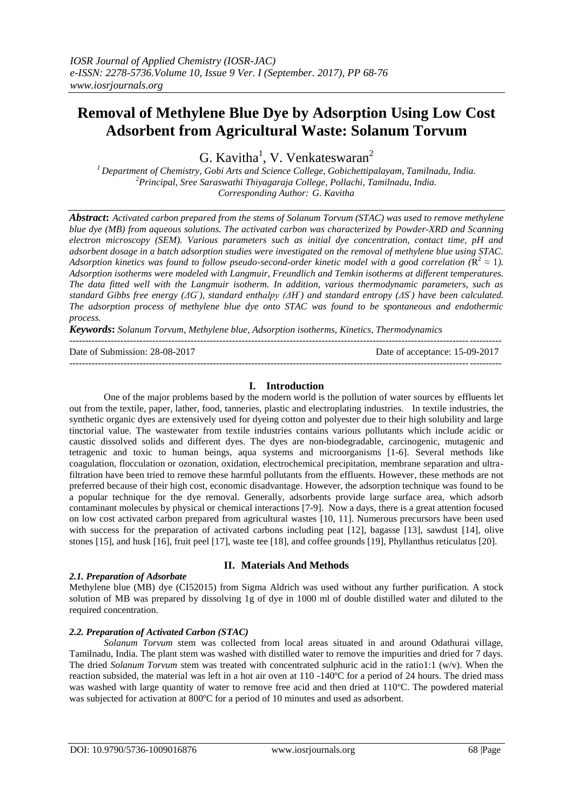# **Removal of Methylene Blue Dye by Adsorption Using Low Cost Adsorbent from Agricultural Waste: Solanum Torvum**

G. Kavitha<sup>1</sup>, V. Venkateswaran<sup>2</sup>

*<sup>1</sup> Department of Chemistry, Gobi Arts and Science College, Gobichettipalayam, Tamilnadu, India. <sup>2</sup>Principal, Sree Saraswathi Thiyagaraja College, Pollachi, Tamilnadu, India. Corresponding Author: G. Kavitha*

*Abstract***:** *Activated carbon prepared from the stems of Solanum Torvum (STAC) was used to remove methylene blue dye (MB) from aqueous solutions. The activated carbon was characterized by Powder-XRD and Scanning electron microscopy (SEM). Various parameters such as initial dye concentration, contact time, pH and adsorbent dosage in a batch adsorption studies were investigated on the removal of methylene blue using STAC. Adsorption kinetics was found to follow pseudo-second-order kinetic model with a good correlation* ( $\mathbb{R}^2 \approx 1$ ). *Adsorption isotherms were modeled with Langmuir, Freundlich and Temkin isotherms at different temperatures. The data fitted well with the Langmuir isotherm. In addition, various thermodynamic parameters, such as standard Gibbs free energy (ΔG<sup>°</sup>), standard enthalpy (ΔH<sup>°</sup>) and standard entropy (ΔS<sup>°</sup>) have been calculated. The adsorption process of methylene blue dye onto STAC was found to be spontaneous and endothermic process.* 

*Keywords***:** *Solanum Torvum, Methylene blue, Adsorption isotherms, Kinetics, Thermodynamics* ---------------------------------------------------------------------------------------------------------------------------------------

Date of Submission: 28-08-2017 Date of acceptance: 15-09-2017

## **I. Introduction**

---------------------------------------------------------------------------------------------------------------------------------------

One of the major problems based by the modern world is the pollution of water sources by effluents let out from the textile, paper, lather, food, tanneries, plastic and electroplating industries. In textile industries, the synthetic organic dyes are extensively used for dyeing cotton and polyester due to their high solubility and large tinctorial value. The wastewater from textile industries contains various pollutants which include acidic or caustic dissolved solids and different dyes. The dyes are non-biodegradable, carcinogenic, mutagenic and tetragenic and toxic to human beings, aqua systems and microorganisms [1-6]. Several methods like coagulation, flocculation or ozonation, oxidation, electrochemical precipitation, membrane separation and ultrafiltration have been tried to remove these harmful pollutants from the effluents. However, these methods are not preferred because of their high cost, economic disadvantage. However, the adsorption technique was found to be a popular technique for the dye removal. Generally, adsorbents provide large surface area, which adsorb contaminant molecules by physical or chemical interactions [7-9]. Now a days, there is a great attention focused on low cost activated carbon prepared from agricultural wastes [10, 11]. Numerous precursors have been used with success for the preparation of activated carbons including peat [12], bagasse [13], sawdust [14], olive stones [15], and husk [16], fruit peel [17], waste tee [18], and coffee grounds [19], Phyllanthus reticulatus [20].

## *2.1. Preparation of Adsorbate*

# **II. Materials And Methods**

Methylene blue (MB) dye (CI52015) from Sigma Aldrich was used without any further purification. A stock solution of MB was prepared by dissolving 1g of dye in 1000 ml of double distilled water and diluted to the required concentration.

# *2.2. Preparation of Activated Carbon (STAC)*

*Solanum Torvum* stem was collected from local areas situated in and around Odathurai village, Tamilnadu, India. The plant stem was washed with distilled water to remove the impurities and dried for 7 days. The dried *Solanum Torvum* stem was treated with concentrated sulphuric acid in the ratio1:1 (w/v). When the reaction subsided, the material was left in a hot air oven at 110 -140ºC for a period of 24 hours. The dried mass was washed with large quantity of water to remove free acid and then dried at 110ºC. The powdered material was subjected for activation at 800ºC for a period of 10 minutes and used as adsorbent.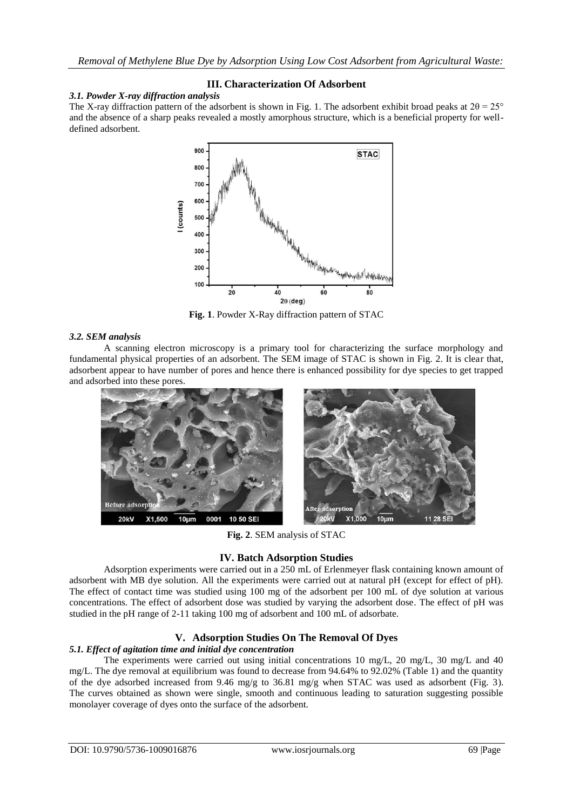## **III. Characterization Of Adsorbent**

*3.1. Powder X-ray diffraction analysis*

The X-ray diffraction pattern of the adsorbent is shown in Fig. 1. The adsorbent exhibit broad peaks at  $2\theta = 25^{\circ}$ and the absence of a sharp peaks revealed a mostly amorphous structure, which is a beneficial property for welldefined adsorbent.



**Fig. 1**. Powder X-Ray diffraction pattern of STAC

#### *3.2. SEM analysis*

A scanning electron microscopy is a primary tool for characterizing the surface morphology and fundamental physical properties of an adsorbent. The SEM image of STAC is shown in Fig. 2. It is clear that, adsorbent appear to have number of pores and hence there is enhanced possibility for dye species to get trapped and adsorbed into these pores.



**Fig. 2**. SEM analysis of STAC

## **IV. Batch Adsorption Studies**

Adsorption experiments were carried out in a 250 mL of Erlenmeyer flask containing known amount of adsorbent with MB dye solution. All the experiments were carried out at natural pH (except for effect of pH). The effect of contact time was studied using 100 mg of the adsorbent per 100 mL of dye solution at various concentrations. The effect of adsorbent dose was studied by varying the adsorbent dose. The effect of pH was studied in the pH range of 2-11 taking 100 mg of adsorbent and 100 mL of adsorbate.

## **V. Adsorption Studies On The Removal Of Dyes**

## *5.1. Effect of agitation time and initial dye concentration*

The experiments were carried out using initial concentrations 10 mg/L, 20 mg/L, 30 mg/L and 40 mg/L. The dye removal at equilibrium was found to decrease from 94.64% to 92.02% (Table 1) and the quantity of the dye adsorbed increased from 9.46 mg/g to 36.81 mg/g when STAC was used as adsorbent (Fig. 3). The curves obtained as shown were single, smooth and continuous leading to saturation suggesting possible monolayer coverage of dyes onto the surface of the adsorbent.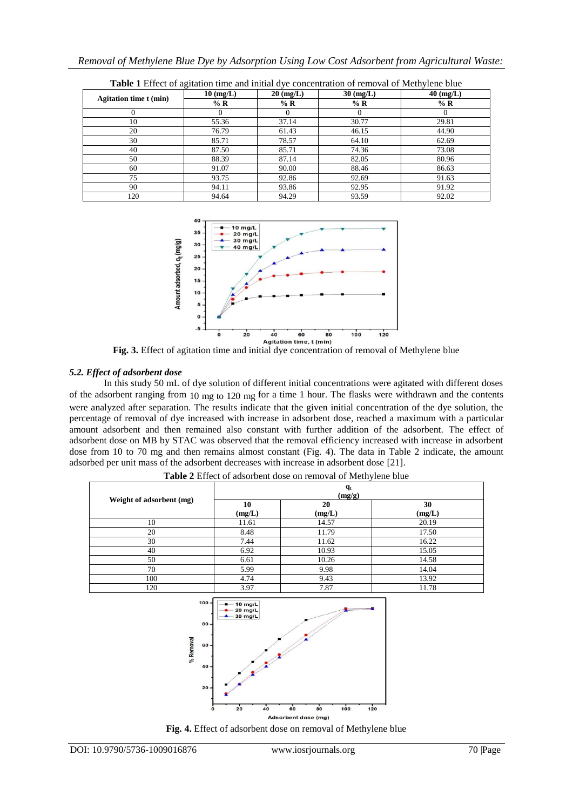|                               | $10 \text{ (mg/L)}$ | $20 \text{ (mg/L)}$ | $30 \text{ (mg/L)}$ | $40 \ (mg/L)$ |
|-------------------------------|---------------------|---------------------|---------------------|---------------|
| <b>Agitation time t (min)</b> | $%$ R               | $\%$ R              | $%$ R               | $%$ R         |
|                               |                     |                     |                     |               |
| 10                            | 55.36               | 37.14               | 30.77               | 29.81         |
| 20                            | 76.79               | 61.43               | 46.15               | 44.90         |
| 30                            | 85.71               | 78.57               | 64.10               | 62.69         |
| 40                            | 87.50               | 85.71               | 74.36               | 73.08         |
| 50                            | 88.39               | 87.14               | 82.05               | 80.96         |
| 60                            | 91.07               | 90.00               | 88.46               | 86.63         |
| 75                            | 93.75               | 92.86               | 92.69               | 91.63         |
| 90                            | 94.11               | 93.86               | 92.95               | 91.92         |
| 120                           | 94.64               | 94.29               | 93.59               | 92.02         |

**Table 1** Effect of agitation time and initial dye concentration of removal of Methylene blue



**Fig. 3.** Effect of agitation time and initial dye concentration of removal of Methylene blue

## *5.2. Effect of adsorbent dose*

In this study 50 mL of dye solution of different initial concentrations were agitated with different doses of the adsorbent ranging from  $10 \text{ mg}$  to  $120 \text{ mg}$  for a time 1 hour. The flasks were withdrawn and the contents were analyzed after separation. The results indicate that the given initial concentration of the dye solution, the percentage of removal of dye increased with increase in adsorbent dose, reached a maximum with a particular amount adsorbent and then remained also constant with further addition of the adsorbent. The effect of adsorbent dose on MB by STAC was observed that the removal efficiency increased with increase in adsorbent dose from 10 to 70 mg and then remains almost constant (Fig. 4). The data in Table 2 indicate, the amount adsorbed per unit mass of the adsorbent decreases with increase in adsorbent dose [21].

|                          | $q_t$<br>(mg/g) |              |              |  |
|--------------------------|-----------------|--------------|--------------|--|
| Weight of adsorbent (mg) | 10<br>(mg/L)    | 20<br>(mg/L) | 30<br>(mg/L) |  |
| 10                       | 11.61           | 14.57        | 20.19        |  |
| 20                       | 8.48            | 11.79        | 17.50        |  |
| 30                       | 7.44            | 11.62        | 16.22        |  |
| 40                       | 6.92            | 10.93        | 15.05        |  |
| 50                       | 6.61            | 10.26        | 14.58        |  |
| 70                       | 5.99            | 9.98         | 14.04        |  |
| 100                      | 4.74            | 9.43         | 13.92        |  |
| 120                      | 3.97            | 7.87         | 11.78        |  |

**Table 2** Effect of adsorbent dose on removal of Methylene blue



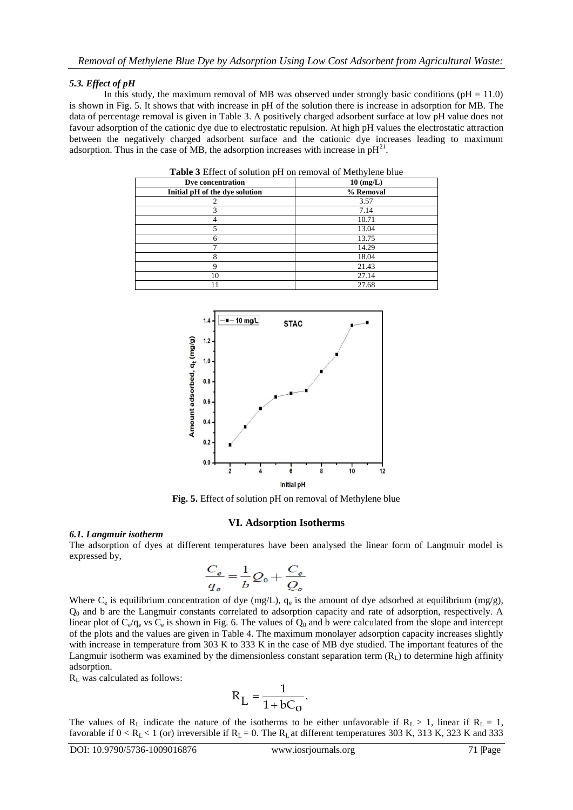## *5.3. Effect of pH*

In this study, the maximum removal of MB was observed under strongly basic conditions ( $pH = 11.0$ ) is shown in Fig. 5. It shows that with increase in pH of the solution there is increase in adsorption for MB. The data of percentage removal is given in Table 3. A positively charged adsorbent surface at low pH value does not favour adsorption of the cationic dye due to electrostatic repulsion. At high pH values the electrostatic attraction between the negatively charged adsorbent surface and the cationic dye increases leading to maximum adsorption. Thus in the case of MB, the adsorption increases with increase in  $pH^{21}$ .

| Table 3 Effect of solution pH on removal of Methylene blue |               |  |  |
|------------------------------------------------------------|---------------|--|--|
| Dye concentration                                          | $10 \ (mg/L)$ |  |  |
| Initial pH of the dye solution                             | % Removal     |  |  |
|                                                            | 3.57          |  |  |
| 3                                                          | 7.14          |  |  |
|                                                            | 10.71         |  |  |
|                                                            | 13.04         |  |  |
|                                                            | 13.75         |  |  |
|                                                            | 14.29         |  |  |
| 8                                                          | 18.04         |  |  |
| 9                                                          | 21.43         |  |  |
| 10                                                         | 27.14         |  |  |
|                                                            | 27.68         |  |  |



**Fig. 5.** Effect of solution pH on removal of Methylene blue

#### **VI. Adsorption Isotherms**

#### *6.1. Langmuir isotherm*

The adsorption of dyes at different temperatures have been analysed the linear form of Langmuir model is expressed by,

$$
\frac{C_e}{q_e} = \frac{1}{b}Q_0 + \frac{C_e}{Q_o}
$$

Where  $C_e$  is equilibrium concentration of dye (mg/L),  $q_e$  is the amount of dye adsorbed at equilibrium (mg/g), Q<sup>0</sup> and b are the Langmuir constants correlated to adsorption capacity and rate of adsorption, respectively. A linear plot of  $C_e/q_e$  vs  $C_e$  is shown in Fig. 6. The values of  $Q_0$  and b were calculated from the slope and intercept of the plots and the values are given in Table 4. The maximum monolayer adsorption capacity increases slightly with increase in temperature from 303 K to 333 K in the case of MB dye studied. The important features of the Langmuir isotherm was examined by the dimensionless constant separation term  $(R<sub>L</sub>)$  to determine high affinity adsorption.

 $R<sub>L</sub>$  was calculated as follows:

$$
R_L = \frac{1}{1 + bC_O}.
$$

The values of R<sub>L</sub> indicate the nature of the isotherms to be either unfavorable if R<sub>L</sub> > 1, linear if R<sub>L</sub> = 1, favorable if  $0 < R_L < 1$  (or) irreversible if  $R_L = 0$ . The  $R_L$  at different temperatures 303 K, 313 K, 323 K and 333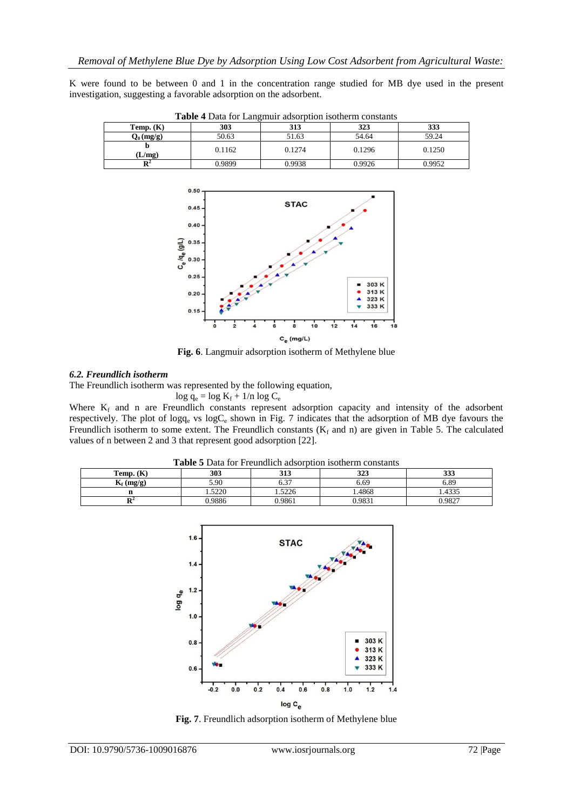K were found to be between 0 and 1 in the concentration range studied for MB dye used in the present investigation, suggesting a favorable adsorption on the adsorbent.

| <b>THOIC</b> + Data for Ealignian adoorphon houndim constants |        |        |        |        |
|---------------------------------------------------------------|--------|--------|--------|--------|
| Temp. $(K)$                                                   | 303    | 313    | 323    | 333    |
| $Q_0$ (mg/g)                                                  | 50.63  | 51.63  | 54.64  | 59.24  |
|                                                               | 0.1162 | 0.1274 | 0.1296 | 0.1250 |
| $L/mg$ )                                                      |        |        |        |        |
|                                                               | 0.9899 | 0.9938 | 0.9926 | 0.9952 |

**Table 4** Data for Langmuir adsorption isotherm constants



**Fig. 6**. Langmuir adsorption isotherm of Methylene blue

#### *6.2. Freundlich isotherm*

The Freundlich isotherm was represented by the following equation,

 $log q_e = log K_f + 1/n log C_e$ 

Where  $K_f$  and n are Freundlich constants represent adsorption capacity and intensity of the adsorbent respectively. The plot of logq<sub>e</sub> vs logC<sub>e</sub> shown in Fig. 7 indicates that the adsorption of MB dye favours the Freundlich isotherm to some extent. The Freundlich constants  $(K_f$  and n) are given in Table 5. The calculated values of n between 2 and 3 that represent good adsorption [22].

| <b>Table</b> 3 Data for Freundheit ausofbuoli isotherin constants |        |        |            |        |
|-------------------------------------------------------------------|--------|--------|------------|--------|
| Temp. $(K)$                                                       | 303    | 313    | 222<br>J4J | 333    |
| $K_f$ (mg/g)                                                      | 5.90   | - מ    | 6.69       | 6.89   |
|                                                                   | .5220  | .5226  | .4868      | .4335  |
| ПZ                                                                | 0.9886 | 0.9861 | 0.9831     | 0.9827 |

**Table 5** Data for Freundlich adsorption isotherm constants



**Fig. 7**. Freundlich adsorption isotherm of Methylene blue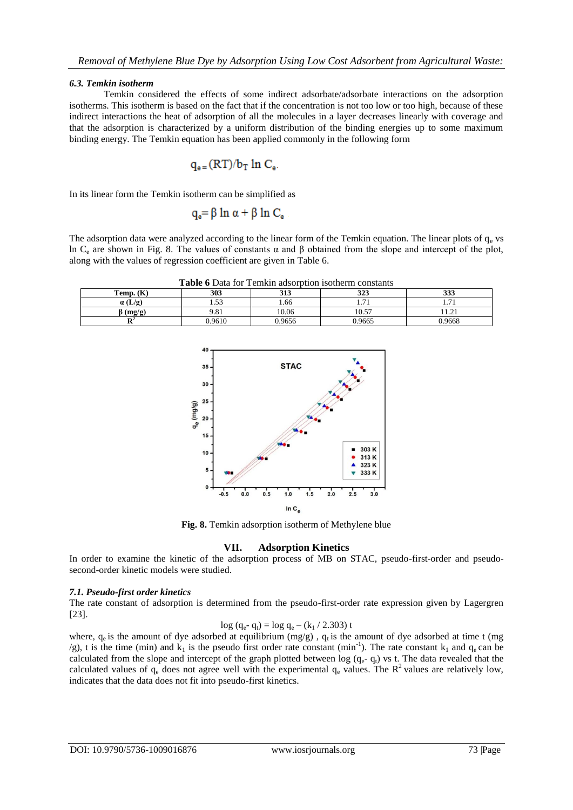#### *6.3. Temkin isotherm*

Temkin considered the effects of some indirect adsorbate/adsorbate interactions on the adsorption isotherms. This isotherm is based on the fact that if the concentration is not too low or too high, because of these indirect interactions the heat of adsorption of all the molecules in a layer decreases linearly with coverage and that the adsorption is characterized by a uniform distribution of the binding energies up to some maximum binding energy. The Temkin equation has been applied commonly in the following form

$$
q_{\text{e}} = (RT)/b_T \ln C_{\text{e}}.
$$

In its linear form the Temkin isotherm can be simplified as

$$
q_e = \beta \ln \alpha + \beta \ln C_e
$$

The adsorption data were analyzed according to the linear form of the Temkin equation. The linear plots of  $q_e$  vs ln C<sub>e</sub> are shown in Fig. 8. The values of constants α and β obtained from the slope and intercept of the plot, along with the values of regression coefficient are given in Table 6.

**Table 6** Data for Temkin adsorption isotherm constants

| Temp. $(K)$    | 303         | 212<br>JIJ | 222<br>ن⊿د               | 333                              |
|----------------|-------------|------------|--------------------------|----------------------------------|
| $\alpha$ (L/g) | $\sim$<br>. | 1.66       | $\overline{\phantom{0}}$ | $\overline{\phantom{a}}$<br>1.11 |
| (mg/g)         | 9.81        | 10.06      | 10.57                    | $\sim$<br>11.21                  |
|                | 0.9610      | 0.9656     | 0.9665                   | 0.9668                           |



**Fig. 8.** Temkin adsorption isotherm of Methylene blue

## **VII. Adsorption Kinetics**

In order to examine the kinetic of the adsorption process of MB on STAC, pseudo-first-order and pseudosecond-order kinetic models were studied.

#### *7.1. Pseudo-first order kinetics*

The rate constant of adsorption is determined from the pseudo-first-order rate expression given by Lagergren [23].

$$
log (q_e - q_t) = log q_e - (k_1 / 2.303) t
$$

where,  $q_e$  is the amount of dye adsorbed at equilibrium (mg/g),  $q_t$  is the amount of dye adsorbed at time t (mg  $\gamma$ g), t is the time (min) and k<sub>1</sub> is the pseudo first order rate constant (min<sup>-1</sup>). The rate constant k<sub>1</sub> and q<sub>e</sub> can be calculated from the slope and intercept of the graph plotted between log  $(q_e - q_t)$  vs t. The data revealed that the calculated values of  $q_e$  does not agree well with the experimental  $q_e$  values. The  $R^2$  values are relatively low, indicates that the data does not fit into pseudo-first kinetics.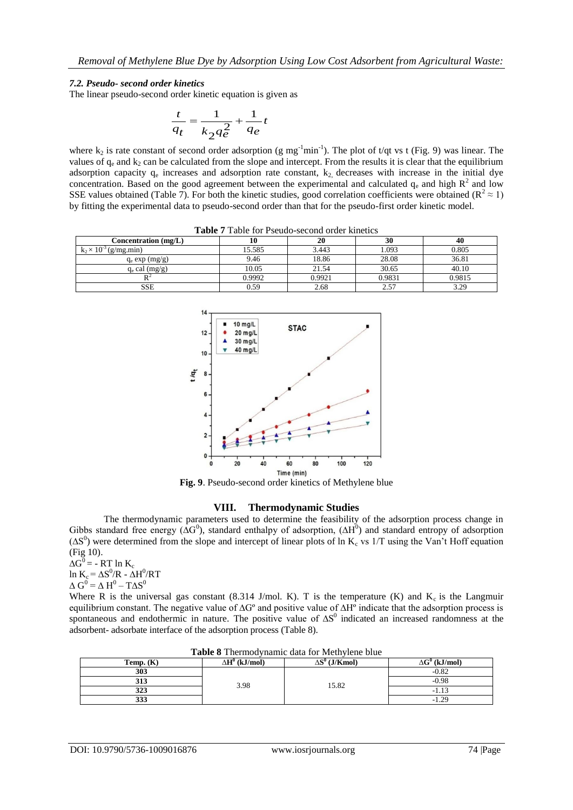#### *7.2. Pseudo- second order kinetics*

The linear pseudo-second order kinetic equation is given as

$$
\frac{t}{q_t} = \frac{1}{k_2 q_e^2} + \frac{1}{q_e} t
$$

where  $k_2$  is rate constant of second order adsorption (g mg<sup>-1</sup>min<sup>-1</sup>). The plot of t/qt vs t (Fig. 9) was linear. The values of  $q_e$  and  $k_2$  can be calculated from the slope and intercept. From the results it is clear that the equilibrium adsorption capacity  $q_e$  increases and adsorption rate constant,  $k_2$ , decreases with increase in the initial dye concentration. Based on the good agreement between the experimental and calculated  $q_e$  and high  $R^2$  and low SSE values obtained (Table 7). For both the kinetic studies, good correlation coefficients were obtained ( $\mathbb{R}^2 \approx 1$ ) by fitting the experimental data to pseudo-second order than that for the pseudo-first order kinetic model.

| <b>Table</b> / Table for Pseudo-second order kinetics |        |        |        |        |  |
|-------------------------------------------------------|--------|--------|--------|--------|--|
| Concentration $(mg/L)$                                |        | 20     |        | 40     |  |
| $k_2 \times 10^{-3}$ (g/mg.min)                       | 15.585 | 3.443  | 1.093  | 0.805  |  |
| $q_e exp (mg/g)$                                      | 9.46   | 18.86  | 28.08  | 36.81  |  |
| $q_e$ cal $(mg/g)$                                    | 10.05  | 21.54  | 30.65  | 40.10  |  |
|                                                       | 0.9992 | 0.9921 | 0.9831 | 0.9815 |  |

**Table 7** Table for Pseudo-second order kinetics

SSE 1 0.59 2.68 2.57 3.29



## **VIII. Thermodynamic Studies**

The thermodynamic parameters used to determine the feasibility of the adsorption process change in Gibbs standard free energy ( $\Delta G^0$ ), standard enthalpy of adsorption, ( $\Delta H^0$ ) and standard entropy of adsorption  $(\Delta S^0)$  were determined from the slope and intercept of linear plots of ln K<sub>c</sub> vs 1/T using the Van't Hoff equation (Fig 10).

 $\Delta G^0$  = - RT ln K<sub>c</sub> ln K<sub>c</sub> =  $\Delta S^0/R - \Delta H^0/RT$  $\Delta G^0$  =  $\Delta H^0$  –  $T \Delta S^0$ 

Where R is the universal gas constant (8.314 J/mol. K). T is the temperature (K) and  $K_c$  is the Langmuir equilibrium constant. The negative value of ∆Gº and positive value of ∆Hº indicate that the adsorption process is spontaneous and endothermic in nature. The positive value of  $\Delta S^0$  indicated an increased randomness at the adsorbent- adsorbate interface of the adsorption process (Table 8).

| Table 8 Thermodynamic data for Methylene blue |  |  |
|-----------------------------------------------|--|--|
|-----------------------------------------------|--|--|

| Temp. $(K)$ | $\Delta H^0$ (kJ/mol) | $\Delta S^0$ (J/Kmol) | $\Delta G^0$ (kJ/mol) |
|-------------|-----------------------|-----------------------|-----------------------|
| 303         |                       |                       | $-0.82$               |
| JIJ         |                       | 15.82                 | $-0.98$               |
| つへつ<br>د در | 3.98                  |                       |                       |
| າາາ<br>999  |                       |                       | $\gamma$ q            |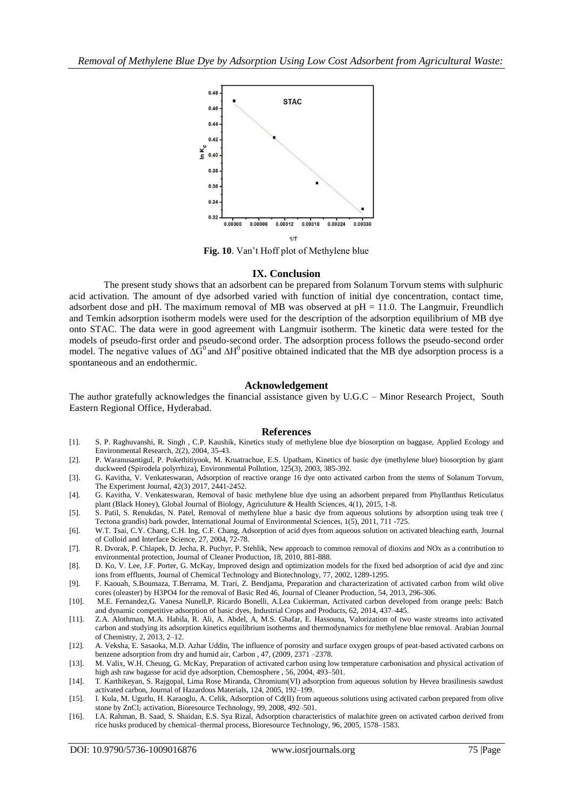

**Fig. 10**. Van't Hoff plot of Methylene blue

#### **IX. Conclusion**

The present study shows that an adsorbent can be prepared from Solanum Torvum stems with sulphuric acid activation. The amount of dye adsorbed varied with function of initial dye concentration, contact time, adsorbent dose and pH. The maximum removal of MB was observed at pH = 11.0. The Langmuir, Freundlich and Temkin adsorption isotherm models were used for the description of the adsorption equilibrium of MB dye onto STAC. The data were in good agreement with Langmuir isotherm. The kinetic data were tested for the models of pseudo-first order and pseudo-second order. The adsorption process follows the pseudo-second order model. The negative values of  $\Delta G^0$  and  $\Delta H^0$  positive obtained indicated that the MB dye adsorption process is a spontaneous and an endothermic.

#### **Acknowledgement**

The author gratefully acknowledges the financial assistance given by U.G.C – Minor Research Project, South Eastern Regional Office, Hyderabad.

#### **References**

- [1]. S. P. Raghuvanshi, R. Singh , C.P. Kaushik, Kinetics study of methylene blue dye biosorption on baggase, Applied Ecology and Environmental Research, 2(2), 2004, 35-43.
- [2]. P. Waranusantigul, P. Pokethitiyook, M. Kruatrachue, E.S. Upatham, Kinetics of basic dye (methylene blue) biosorption by giant duckweed (Spirodela polyrrhiza), Environmental Pollution, 125(3), 2003, 385-392.
- [3]. G. Kavitha, V. Venkateswaran, Adsorption of reactive orange 16 dye onto activated carbon from the stems of Solanum Torvum, The Experiment Journal, 42(3) 2017, 2441-2452.
- [4]. G. Kavitha, V. Venkateswaran, Removal of basic methylene blue dye using an adsorbent prepared from Phyllanthus Reticulatus plant (Black Honey), Global Journal of Biology, Agriculuture & Health Sciences, 4(1), 2015, 1-8.
- [5]. S. Patil, S. Renukdas, N. Patel, Removal of methylene blue a basic dye from aqueous solutions by adsorption using teak tree ( Tectona grandis) bark powder, International Journal of Environmental Sciences, 1(5), 2011, 711 -725.
- [6]. W.T. Tsai, C.Y. Chang, C.H. Ing, C.F. Chang, Adsorption of acid dyes from aqueous solution on activated bleaching earth, Journal of Colloid and Interface Science, 27, 2004, 72-78.
- [7]. R. Dvorak, P. Chlapek, D. Jecha, R. Puchyr, P. Stehlik, New approach to common removal of dioxins and NOx as a contribution to environmental protection, Journal of Cleaner Production, 18, 2010, 881-888.
- [8]. D. Ko, V. Lee, J.F. Porter, G. McKay, Improved design and optimization models for the fixed bed adsorption of acid dye and zinc ions from effluents, Journal of Chemical Technology and Biotechnology, 77, 2002, 1289-1295.
- [9]. F. Kaouah, S.Boumaza, T.Berrama, M. Trari, Z. Bendjama, Preparation and characterization of activated carbon from wild olive cores (oleaster) by H3PO4 for the removal of Basic Red 46, Journal of Cleaner Production, 54, 2013, 296-306.
- [10]. M.E. Fernandez,G. Vanesa Nunell,P. Ricardo Bonelli, A.Lea Cukierman, Activated carbon developed from orange peels: Batch and dynamic competitive adsorption of basic dyes, Industrial Crops and Products, 62, 2014, 437–445.
- [11]. Z.A. Alothman, M.A. Habila, R. Ali, A. Abdel, A, M.S. Ghafar, E. Hassouna, Valorization of two waste streams into activated carbon and studying its adsorption kinetics equilibrium isotherms and thermodynamics for methylene blue removal. Arabian Journal of Chemistry, 2, 2013, 2–12.
- [12]. A. Veksha, E. Sasaoka, M.D. Azhar Uddin, The influence of porosity and surface oxygen groups of peat-based activated carbons on benzene adsorption from dry and humid air, Carbon , 47, (2009, 2371 –2378.
- [13]. M. Valix, W.H. Cheung, G. McKay, Preparation of activated carbon using low temperature carbonisation and physical activation of high ash raw bagasse for acid dye adsorption, Chemosphere , 56, 2004, 493–501.
- [14]. T. Karthikeyan, S. Rajgopal, Lima Rose Miranda, Chromium(VI) adsorption from aqueous solution by Hevea brasilinesis sawdust activated carbon, Journal of Hazardous Materials, 124, 2005, 192–199.
- [15]. I. Kula, M. Ugurlu, H. Karaoglu, A. Celik, Adsorption of Cd(II) from aqueous solutions using activated carbon prepared from olive stone by ZnCl<sub>2</sub> activation, Bioresource Technology, 99, 2008, 492-501.
- [16]. I.A. Rahman, B. Saad, S. Shaidan, E.S. Sya Rizal, Adsorption characteristics of malachite green on activated carbon derived from rice husks produced by chemical–thermal process, Bioresource Technology, 96, 2005, 1578–1583.